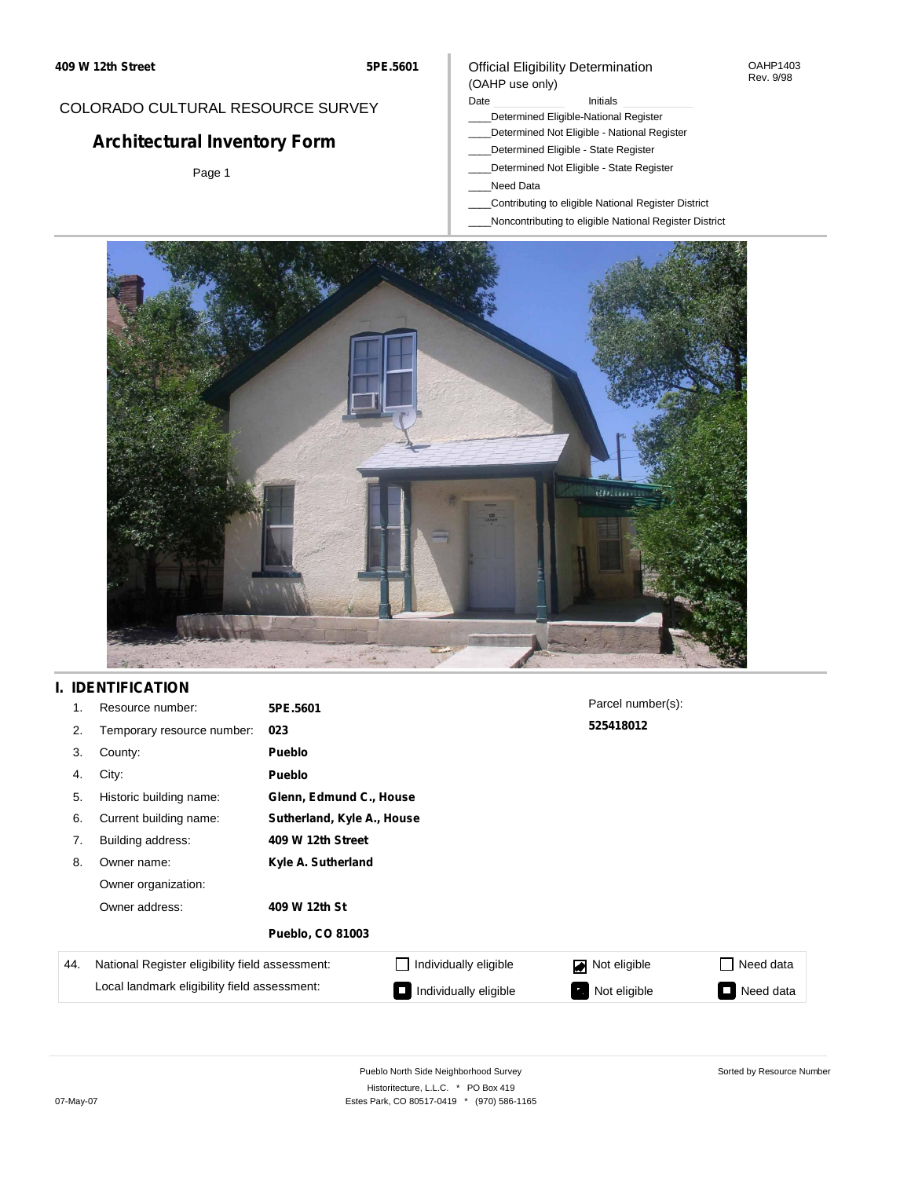#### OAHP1403 Rev. 9/98

### COLORADO CULTURAL RESOURCE SURVEY

# **Architectural Inventory Form**

Page 1

# (OAHP use only)

Official Eligibility Determination

#### Date **Initials** Initials

- \_\_\_\_Determined Eligible-National Register
- \_\_\_\_Determined Not Eligible National Register \_\_\_\_Determined Eligible - State Register
- \_\_\_\_Determined Not Eligible State Register
- \_\_\_\_Need Data
- \_\_\_\_Contributing to eligible National Register District
- \_\_\_\_Noncontributing to eligible National Register District



## **I. IDENTIFICATION**

| 1.  | Resource number:                                | 5PE.5601                |                            | Parcel number(s): |           |  |  |  |
|-----|-------------------------------------------------|-------------------------|----------------------------|-------------------|-----------|--|--|--|
| 2.  | Temporary resource number:                      | 023                     |                            | 525418012         |           |  |  |  |
| 3.  | County:                                         | Pueblo                  |                            |                   |           |  |  |  |
| 4.  | City:                                           | Pueblo                  |                            |                   |           |  |  |  |
| 5.  | Historic building name:                         |                         | Glenn, Edmund C., House    |                   |           |  |  |  |
| 6.  | Current building name:                          |                         | Sutherland, Kyle A., House |                   |           |  |  |  |
| 7.  | Building address:                               | 409 W 12th Street       |                            |                   |           |  |  |  |
| 8.  | Owner name:                                     | Kyle A. Sutherland      |                            |                   |           |  |  |  |
|     | Owner organization:                             |                         |                            |                   |           |  |  |  |
|     | Owner address:                                  | 409 W 12th St           |                            |                   |           |  |  |  |
|     |                                                 | <b>Pueblo, CO 81003</b> |                            |                   |           |  |  |  |
| 44. | National Register eligibility field assessment: |                         | Individually eligible      | Not eligible      | Need data |  |  |  |
|     | Local landmark eligibility field assessment:    |                         | Individually eligible      | Not eligible      | Need data |  |  |  |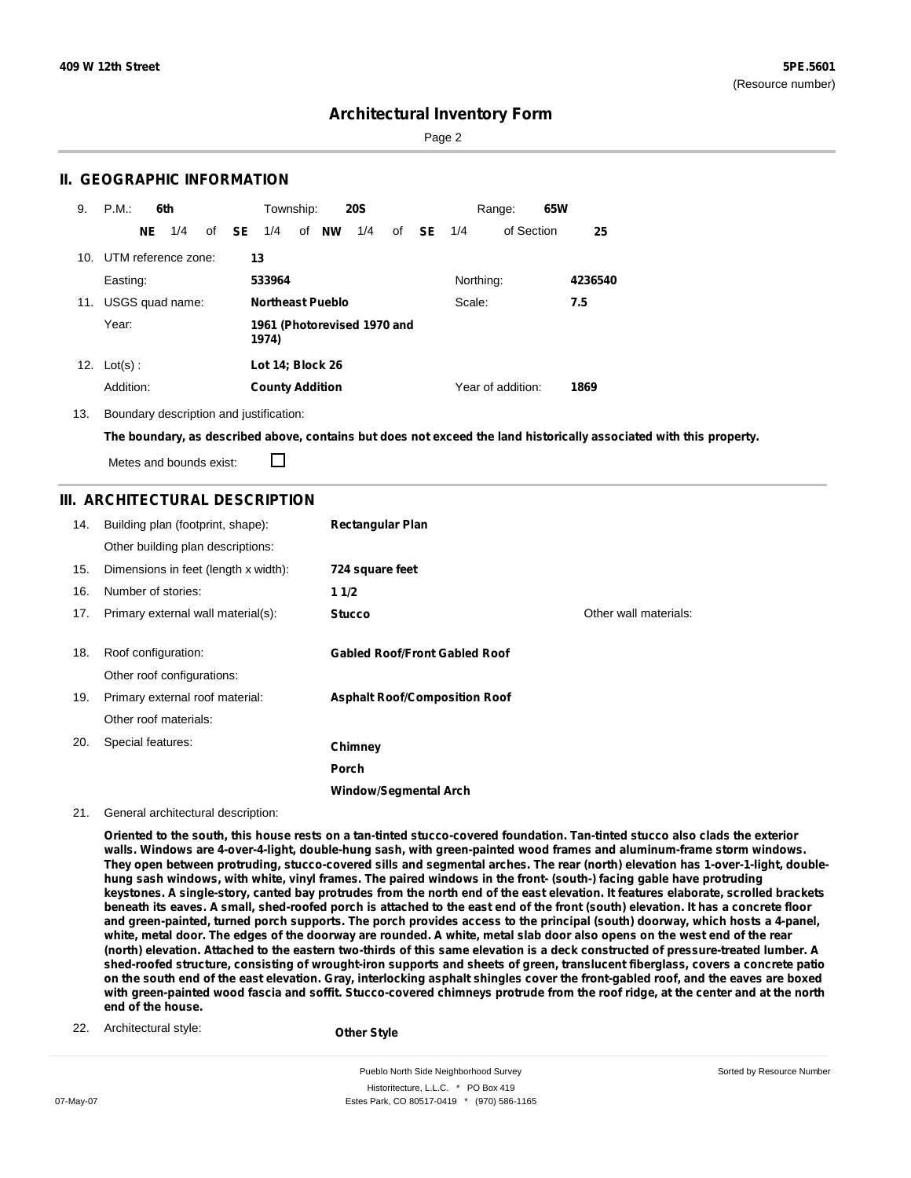Sorted by Resource Number

### **Architectural Inventory Form**

Page 2

#### **II. GEOGRAPHIC INFORMATION**

| 9.  | P.M.       |                                      | 6th                 |  |              | Township:               |              | <b>20S</b> |    |     |           | Range:            | 65W |         |
|-----|------------|--------------------------------------|---------------------|--|--------------|-------------------------|--------------|------------|----|-----|-----------|-------------------|-----|---------|
|     |            | NE.                                  | 1/4                 |  | of <b>SE</b> | 1/4                     | of <b>NW</b> | 1/4        | of | SE. | 1/4       | of Section        |     | 25      |
| 10. |            |                                      | UTM reference zone: |  |              | 13                      |              |            |    |     |           |                   |     |         |
|     | Easting:   |                                      |                     |  |              | 533964                  |              |            |    |     | Northing: |                   |     | 4236540 |
| 11. |            |                                      | USGS quad name:     |  |              | <b>Northeast Pueblo</b> |              |            |    |     | Scale:    |                   |     | 7.5     |
|     | Year:      | 1961 (Photorevised 1970 and<br>1974) |                     |  |              |                         |              |            |    |     |           |                   |     |         |
| 12. | $Lot(s)$ : |                                      |                     |  |              | Lot 14; Block 26        |              |            |    |     |           |                   |     |         |
|     | Addition:  |                                      |                     |  |              | <b>County Addition</b>  |              |            |    |     |           | Year of addition: |     | 1869    |

13. Boundary description and justification:

The boundary, as described above, contains but does not exceed the land historically associated with this property.

Metes and bounds exist:

П

#### **III. ARCHITECTURAL DESCRIPTION**

| 14. | Building plan (footprint, shape):<br>Other building plan descriptions: | <b>Rectangular Plan</b>              |                       |
|-----|------------------------------------------------------------------------|--------------------------------------|-----------------------|
| 15. | Dimensions in feet (length x width):                                   | 724 square feet                      |                       |
| 16. | Number of stories:                                                     | 11/2                                 |                       |
| 17. | Primary external wall material(s):                                     | <b>Stucco</b>                        | Other wall materials: |
|     |                                                                        |                                      |                       |
| 18. | Roof configuration:                                                    | <b>Gabled Roof/Front Gabled Roof</b> |                       |
|     | Other roof configurations:                                             |                                      |                       |
| 19. | Primary external roof material:                                        | <b>Asphalt Roof/Composition Roof</b> |                       |
|     | Other roof materials:                                                  |                                      |                       |
| 20. | Special features:                                                      | Chimney                              |                       |
|     |                                                                        | Porch                                |                       |
|     |                                                                        | <b>Window/Segmental Arch</b>         |                       |

#### 21. General architectural description:

Oriented to the south, this house rests on a tan-tinted stucco-covered foundation. Tan-tinted stucco also clads the exterior **walls. Windows are 4-over-4-light, double-hung sash, with green-painted wood frames and aluminum-frame storm windows.** They open between protruding, stucco-covered sills and segmental arches. The rear (north) elevation has 1-over-1-light, doublehung sash windows, with white, vinyl frames. The paired windows in the front- (south-) facing gable have protruding keystones. A single-story, canted bay protrudes from the north end of the east elevation. It features elaborate, scrolled brackets beneath its eaves. A small, shed-roofed porch is attached to the east end of the front (south) elevation. It has a concrete floor and green-painted, turned porch supports. The porch provides access to the principal (south) doorway, which hosts a 4-panel, white, metal door. The edges of the doorway are rounded. A white, metal slab door also opens on the west end of the rear (north) elevation. Attached to the eastern two-thirds of this same elevation is a deck constructed of pressure-treated lumber. A shed-roofed structure, consisting of wrought-iron supports and sheets of green, translucent fiberglass, covers a concrete patio on the south end of the east elevation. Gray, interlocking asphalt shingles cover the front-gabled roof, and the eaves are boxed with green-painted wood fascia and soffit. Stucco-covered chimneys protrude from the roof ridge, at the center and at the north **end of the house.**

22. Architectural style:

**Other Style**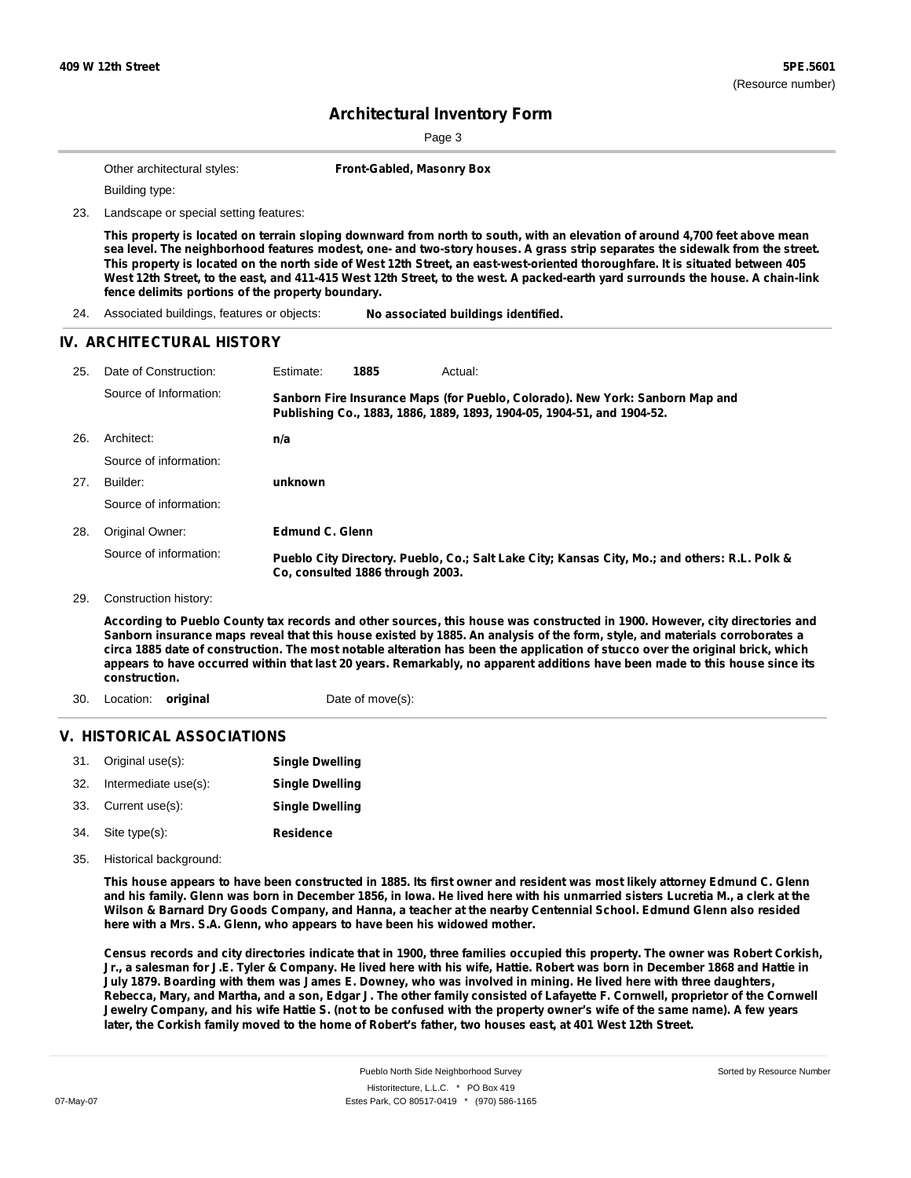Page 3

|     | Other architectural styles:                       | Front-Gabled, Masonry Box                                                                                                                                                                                                                                                                                                                                                                                                                                                                                                         |
|-----|---------------------------------------------------|-----------------------------------------------------------------------------------------------------------------------------------------------------------------------------------------------------------------------------------------------------------------------------------------------------------------------------------------------------------------------------------------------------------------------------------------------------------------------------------------------------------------------------------|
|     | Building type:                                    |                                                                                                                                                                                                                                                                                                                                                                                                                                                                                                                                   |
| 23. | Landscape or special setting features:            |                                                                                                                                                                                                                                                                                                                                                                                                                                                                                                                                   |
|     | fence delimits portions of the property boundary. | This property is located on terrain sloping downward from north to south, with an elevation of around 4,700 feet above mean<br>sea level. The neighborhood features modest, one- and two-story houses. A grass strip separates the sidewalk from the street.<br>This property is located on the north side of West 12th Street, an east-west-oriented thoroughfare. It is situated between 405<br>West 12th Street, to the east, and 411-415 West 12th Street, to the west. A packed-earth yard surrounds the house. A chain-link |
| 24. | Associated buildings, features or objects:        | No associated buildings identified.                                                                                                                                                                                                                                                                                                                                                                                                                                                                                               |
|     | IV. ARCHITECTURAL HISTORY                         |                                                                                                                                                                                                                                                                                                                                                                                                                                                                                                                                   |
| 25. | Date of Construction:                             | Estimate:<br>1885<br>Actual:                                                                                                                                                                                                                                                                                                                                                                                                                                                                                                      |
|     | Source of Information:                            | Sanborn Fire Insurance Maps (for Pueblo, Colorado). New York: Sanborn Map and<br>Publishing Co., 1883, 1886, 1889, 1893, 1904-05, 1904-51, and 1904-52.                                                                                                                                                                                                                                                                                                                                                                           |
| 26. | Architect:                                        | n/a                                                                                                                                                                                                                                                                                                                                                                                                                                                                                                                               |
|     | Source of information:                            |                                                                                                                                                                                                                                                                                                                                                                                                                                                                                                                                   |
| 27. | Builder:                                          | unknown                                                                                                                                                                                                                                                                                                                                                                                                                                                                                                                           |
|     | Source of information:                            |                                                                                                                                                                                                                                                                                                                                                                                                                                                                                                                                   |
| 28. | Original Owner:                                   | <b>Edmund C. Glenn</b>                                                                                                                                                                                                                                                                                                                                                                                                                                                                                                            |
|     | Source of information:                            | Pueblo City Directory. Pueblo, Co.; Salt Lake City; Kansas City, Mo.; and others: R.L. Polk &<br>Co, consulted 1886 through 2003.                                                                                                                                                                                                                                                                                                                                                                                                 |
| 29. | Construction history:                             |                                                                                                                                                                                                                                                                                                                                                                                                                                                                                                                                   |
|     |                                                   | According to Pueblo County tax records and other sources, this house was constructed in 1900. However, city directories and<br>Sanborn insurance maps reveal that this house existed by 1885. An analysis of the form, style, and materials corroborates a<br>circa 1885 date of construction. The most notable alteration has been the application of stucco over the original brick, which<br>appears to have occurred within that last 20 years. Remarkably, no apparent additions have been made to this house since its      |
|     | construction.                                     |                                                                                                                                                                                                                                                                                                                                                                                                                                                                                                                                   |

### **V. HISTORICAL ASSOCIATIONS**

| 31. | Original use(s):     | <b>Single Dwelling</b> |
|-----|----------------------|------------------------|
| 32. | Intermediate use(s): | <b>Single Dwelling</b> |
| 33. | Current use(s):      | <b>Single Dwelling</b> |
| 34. | Site type(s):        | Residence              |

35. Historical background:

This house appears to have been constructed in 1885. Its first owner and resident was most likely attorney Edmund C. Glenn and his family. Glenn was born in December 1856, in lowa. He lived here with his unmarried sisters Lucretia M., a clerk at the Wilson & Barnard Dry Goods Company, and Hanna, a teacher at the nearby Centennial School. Edmund Glenn also resided **here with a Mrs. S.A. Glenn, who appears to have been his widowed mother.**

Census records and city directories indicate that in 1900, three families occupied this property. The owner was Robert Corkish, Jr., a salesman for J.E. Tyler & Company. He lived here with his wife, Hattie. Robert was born in December 1868 and Hattie in July 1879. Boarding with them was James E. Downey, who was involved in mining. He lived here with three daughters, Rebecca, Mary, and Martha, and a son, Edgar J. The other family consisted of Lafayette F. Cornwell, proprietor of the Cornwell Jewelry Company, and his wife Hattie S. (not to be confused with the property owner's wife of the same name). A few years later, the Corkish family moved to the home of Robert's father, two houses east, at 401 West 12th Street.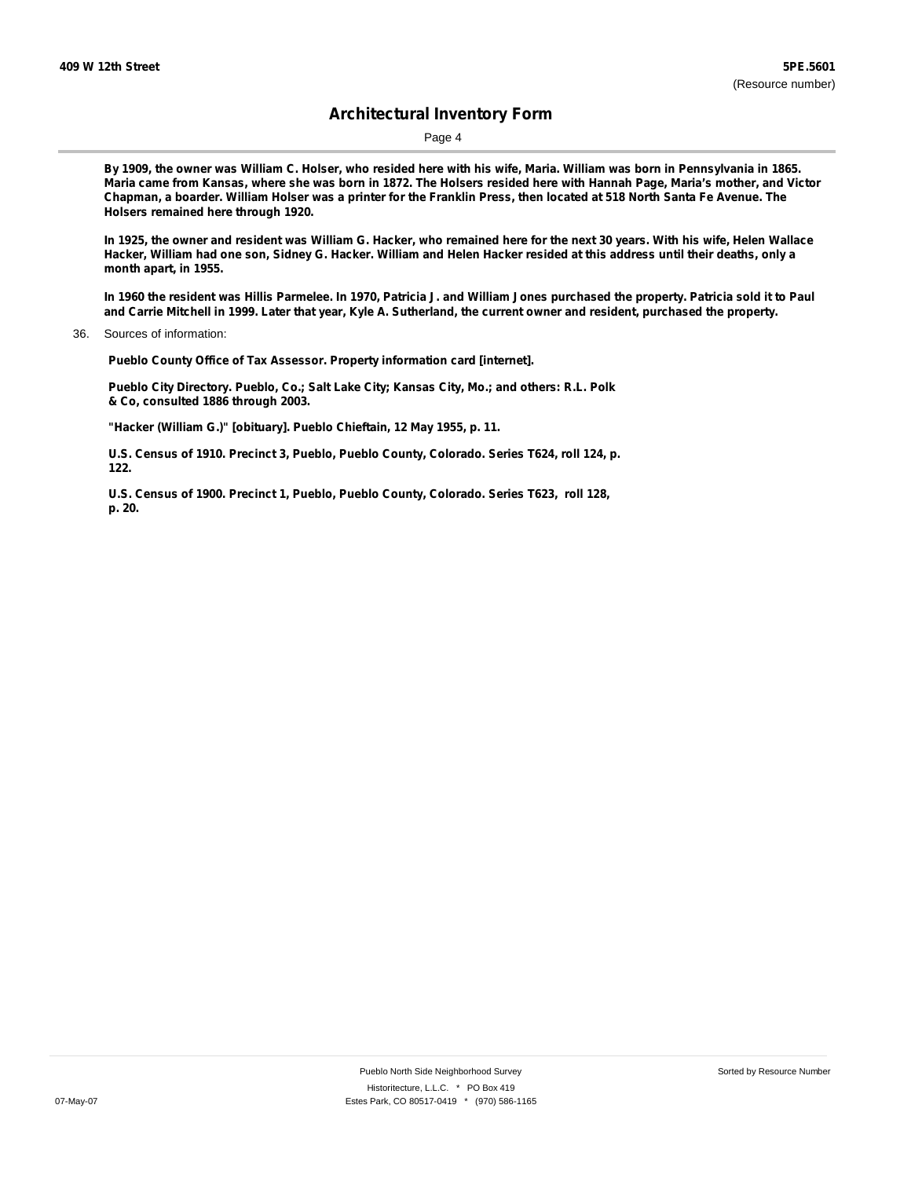Page 4

By 1909, the owner was William C. Holser, who resided here with his wife, Maria. William was born in Pennsylvania in 1865. Maria came from Kansas, where she was born in 1872. The Holsers resided here with Hannah Page, Maria's mother, and Victor Chapman, a boarder. William Holser was a printer for the Franklin Press, then located at 518 North Santa Fe Avenue. The **Holsers remained here through 1920.**

In 1925, the owner and resident was William G. Hacker, who remained here for the next 30 years. With his wife, Helen Wallace Hacker, William had one son, Sidney G. Hacker. William and Helen Hacker resided at this address until their deaths, only a **month apart, in 1955.**

In 1960 the resident was Hillis Parmelee. In 1970, Patricia J. and William Jones purchased the property. Patricia sold it to Paul and Carrie Mitchell in 1999. Later that year, Kyle A. Sutherland, the current owner and resident, purchased the property.

36. Sources of information:

**Pueblo County Office of Tax Assessor. Property information card [internet].**

**Pueblo City Directory. Pueblo, Co.; Salt Lake City; Kansas City, Mo.; and others: R.L. Polk & Co, consulted 1886 through 2003.**

**"Hacker (William G.)" [obituary]. Pueblo Chieftain, 12 May 1955, p. 11.**

**U.S. Census of 1910. Precinct 3, Pueblo, Pueblo County, Colorado. Series T624, roll 124, p. 122.**

**U.S. Census of 1900. Precinct 1, Pueblo, Pueblo County, Colorado. Series T623, roll 128, p. 20.**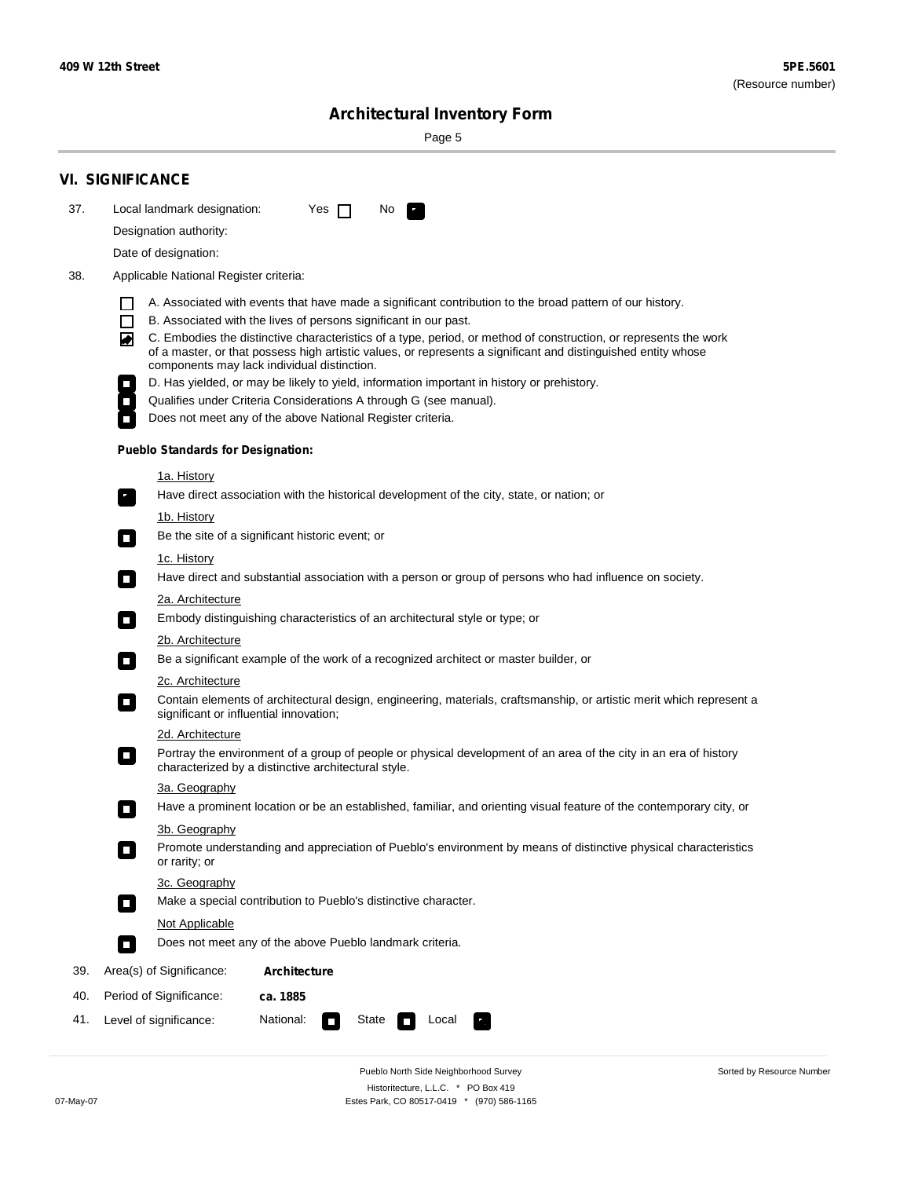÷

Sorted by Resource Number

# **Architectural Inventory Form**

Page 5

|     | <b>VI. SIGNIFICANCE</b>                                                                                                                                                                                                                                                                                                                                                                                                                                                                                                                                                                                                                                                                                                |  |  |  |  |  |  |
|-----|------------------------------------------------------------------------------------------------------------------------------------------------------------------------------------------------------------------------------------------------------------------------------------------------------------------------------------------------------------------------------------------------------------------------------------------------------------------------------------------------------------------------------------------------------------------------------------------------------------------------------------------------------------------------------------------------------------------------|--|--|--|--|--|--|
| 37. | Local landmark designation:<br>Yes $\Box$<br>No.                                                                                                                                                                                                                                                                                                                                                                                                                                                                                                                                                                                                                                                                       |  |  |  |  |  |  |
|     | Designation authority:                                                                                                                                                                                                                                                                                                                                                                                                                                                                                                                                                                                                                                                                                                 |  |  |  |  |  |  |
|     | Date of designation:                                                                                                                                                                                                                                                                                                                                                                                                                                                                                                                                                                                                                                                                                                   |  |  |  |  |  |  |
| 38. | Applicable National Register criteria:                                                                                                                                                                                                                                                                                                                                                                                                                                                                                                                                                                                                                                                                                 |  |  |  |  |  |  |
|     | A. Associated with events that have made a significant contribution to the broad pattern of our history.<br>l.<br>B. Associated with the lives of persons significant in our past.<br>$\Box$<br>C. Embodies the distinctive characteristics of a type, period, or method of construction, or represents the work<br>◙<br>of a master, or that possess high artistic values, or represents a significant and distinguished entity whose<br>components may lack individual distinction.<br>D. Has yielded, or may be likely to yield, information important in history or prehistory.<br>Qualifies under Criteria Considerations A through G (see manual).<br>Does not meet any of the above National Register criteria. |  |  |  |  |  |  |
|     | <b>Pueblo Standards for Designation:</b>                                                                                                                                                                                                                                                                                                                                                                                                                                                                                                                                                                                                                                                                               |  |  |  |  |  |  |
|     | 1a. History                                                                                                                                                                                                                                                                                                                                                                                                                                                                                                                                                                                                                                                                                                            |  |  |  |  |  |  |
|     | Have direct association with the historical development of the city, state, or nation; or                                                                                                                                                                                                                                                                                                                                                                                                                                                                                                                                                                                                                              |  |  |  |  |  |  |
|     | <u>1b. History</u>                                                                                                                                                                                                                                                                                                                                                                                                                                                                                                                                                                                                                                                                                                     |  |  |  |  |  |  |
|     | Be the site of a significant historic event; or<br>$\mathcal{L}_{\mathcal{A}}$                                                                                                                                                                                                                                                                                                                                                                                                                                                                                                                                                                                                                                         |  |  |  |  |  |  |
|     | 1c. History<br>Have direct and substantial association with a person or group of persons who had influence on society.<br>$\blacksquare$                                                                                                                                                                                                                                                                                                                                                                                                                                                                                                                                                                               |  |  |  |  |  |  |
|     | 2a. Architecture                                                                                                                                                                                                                                                                                                                                                                                                                                                                                                                                                                                                                                                                                                       |  |  |  |  |  |  |
|     | Embody distinguishing characteristics of an architectural style or type; or<br>$\overline{\phantom{a}}$                                                                                                                                                                                                                                                                                                                                                                                                                                                                                                                                                                                                                |  |  |  |  |  |  |
|     | 2b. Architecture                                                                                                                                                                                                                                                                                                                                                                                                                                                                                                                                                                                                                                                                                                       |  |  |  |  |  |  |
|     | Be a significant example of the work of a recognized architect or master builder, or<br>$\sim$                                                                                                                                                                                                                                                                                                                                                                                                                                                                                                                                                                                                                         |  |  |  |  |  |  |
|     | 2c. Architecture<br>Contain elements of architectural design, engineering, materials, craftsmanship, or artistic merit which represent a<br>О<br>significant or influential innovation;                                                                                                                                                                                                                                                                                                                                                                                                                                                                                                                                |  |  |  |  |  |  |
|     | 2d. Architecture                                                                                                                                                                                                                                                                                                                                                                                                                                                                                                                                                                                                                                                                                                       |  |  |  |  |  |  |
|     | Portray the environment of a group of people or physical development of an area of the city in an era of history<br>$\Box$<br>characterized by a distinctive architectural style.                                                                                                                                                                                                                                                                                                                                                                                                                                                                                                                                      |  |  |  |  |  |  |
|     | 3a. Geography                                                                                                                                                                                                                                                                                                                                                                                                                                                                                                                                                                                                                                                                                                          |  |  |  |  |  |  |
|     | Have a prominent location or be an established, familiar, and orienting visual feature of the contemporary city, or                                                                                                                                                                                                                                                                                                                                                                                                                                                                                                                                                                                                    |  |  |  |  |  |  |
|     | 3b. Geography                                                                                                                                                                                                                                                                                                                                                                                                                                                                                                                                                                                                                                                                                                          |  |  |  |  |  |  |
|     | Promote understanding and appreciation of Pueblo's environment by means of distinctive physical characteristics<br>or rarity; or                                                                                                                                                                                                                                                                                                                                                                                                                                                                                                                                                                                       |  |  |  |  |  |  |
|     | 3c. Geography                                                                                                                                                                                                                                                                                                                                                                                                                                                                                                                                                                                                                                                                                                          |  |  |  |  |  |  |
|     | Make a special contribution to Pueblo's distinctive character.<br>$\sim$                                                                                                                                                                                                                                                                                                                                                                                                                                                                                                                                                                                                                                               |  |  |  |  |  |  |
|     | Not Applicable                                                                                                                                                                                                                                                                                                                                                                                                                                                                                                                                                                                                                                                                                                         |  |  |  |  |  |  |
|     | Does not meet any of the above Pueblo landmark criteria.<br>$\overline{\phantom{a}}$                                                                                                                                                                                                                                                                                                                                                                                                                                                                                                                                                                                                                                   |  |  |  |  |  |  |
| 39. | Area(s) of Significance:<br><b>Architecture</b>                                                                                                                                                                                                                                                                                                                                                                                                                                                                                                                                                                                                                                                                        |  |  |  |  |  |  |
| 40. | Period of Significance:<br>ca. 1885                                                                                                                                                                                                                                                                                                                                                                                                                                                                                                                                                                                                                                                                                    |  |  |  |  |  |  |
| 41. | National:<br>Level of significance:<br>State<br>Local<br>т,<br>П                                                                                                                                                                                                                                                                                                                                                                                                                                                                                                                                                                                                                                                       |  |  |  |  |  |  |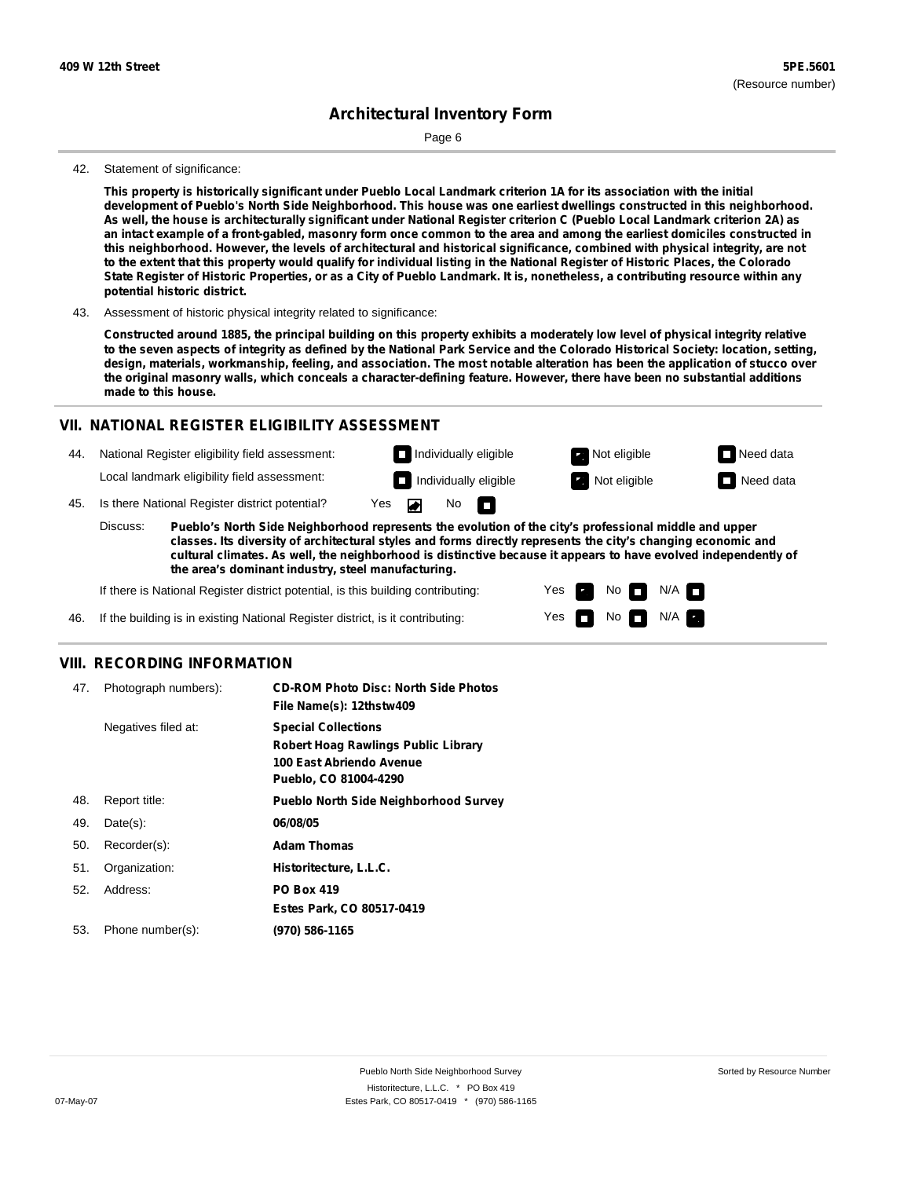Page 6

#### 42. Statement of significance:

This property is historically significant under Pueblo Local Landmark criterion 1A for its association with the initial development of Pueblo's North Side Neighborhood. This house was one earliest dwellings constructed in this neighborhood. As well, the house is architecturally significant under National Register criterion C (Pueblo Local Landmark criterion 2A) as an intact example of a front-gabled, masonry form once common to the area and among the earliest domiciles constructed in this neighborhood. However, the levels of architectural and historical significance, combined with physical integrity, are not to the extent that this property would qualify for individual listing in the National Register of Historic Places, the Colorado State Register of Historic Properties, or as a City of Pueblo Landmark. It is, nonetheless, a contributing resource within any **potential historic district.**

43. Assessment of historic physical integrity related to significance:

Constructed around 1885, the principal building on this property exhibits a moderately low level of physical integrity relative to the seven aspects of integrity as defined by the National Park Service and the Colorado Historical Society: location, setting, design, materials, workmanship, feeling, and association. The most notable alteration has been the application of stucco over the original masonry walls, which conceals a character-defining feature. However, there have been no substantial additions **made to this house.**

#### **VII. NATIONAL REGISTER ELIGIBILITY ASSESSMENT**

- 44. National Register eligibility field assessment: Local landmark eligibility field assessment:
- 45. Is there National Register district potential? Yes

**Pueblo's North Side Neighborhood represents the evolution of the city's professional middle and upper classes. Its diversity of architectural styles and forms directly represents the city's changing economic and cultural climates. As well, the neighborhood is distinctive because it appears to have evolved independently of the area's dominant industry, steel manufacturing.** Discuss:

No

m

Yes Yes No

**Individually eligible Not eligible** Not eligible **Need data Individually eligible Not eligible** Not eligible **Need data** 

No **N/A** 

 $N/A$ 

If there is National Register district potential, is this building contributing:

If the building is in existing National Register district, is it contributing: 46.

#### **VIII. RECORDING INFORMATION**

| 47. | Photograph numbers): | <b>CD-ROM Photo Disc: North Side Photos</b><br>File Name(s): 12thstw409                                                       |
|-----|----------------------|-------------------------------------------------------------------------------------------------------------------------------|
|     | Negatives filed at:  | <b>Special Collections</b><br><b>Robert Hoag Rawlings Public Library</b><br>100 East Abriendo Avenue<br>Pueblo, CO 81004-4290 |
| 48. | Report title:        | <b>Pueblo North Side Neighborhood Survey</b>                                                                                  |
| 49. | $Date(s)$ :          | 06/08/05                                                                                                                      |
| 50. | Recorder(s):         | <b>Adam Thomas</b>                                                                                                            |
| 51. | Organization:        | Historitecture, L.L.C.                                                                                                        |
| 52. | Address:             | <b>PO Box 419</b>                                                                                                             |
|     |                      | Estes Park, CO 80517-0419                                                                                                     |
| 53. | Phone number(s):     | (970) 586-1165                                                                                                                |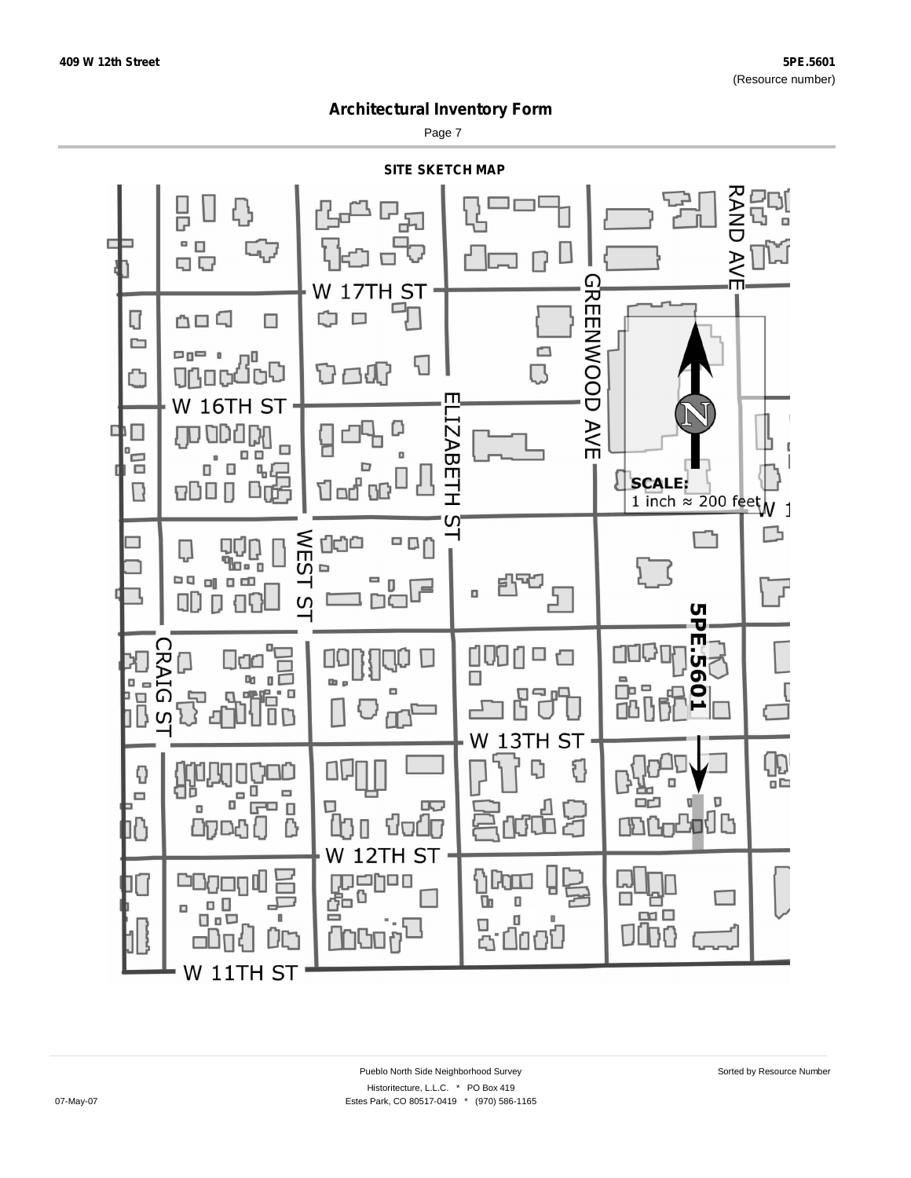Page 7